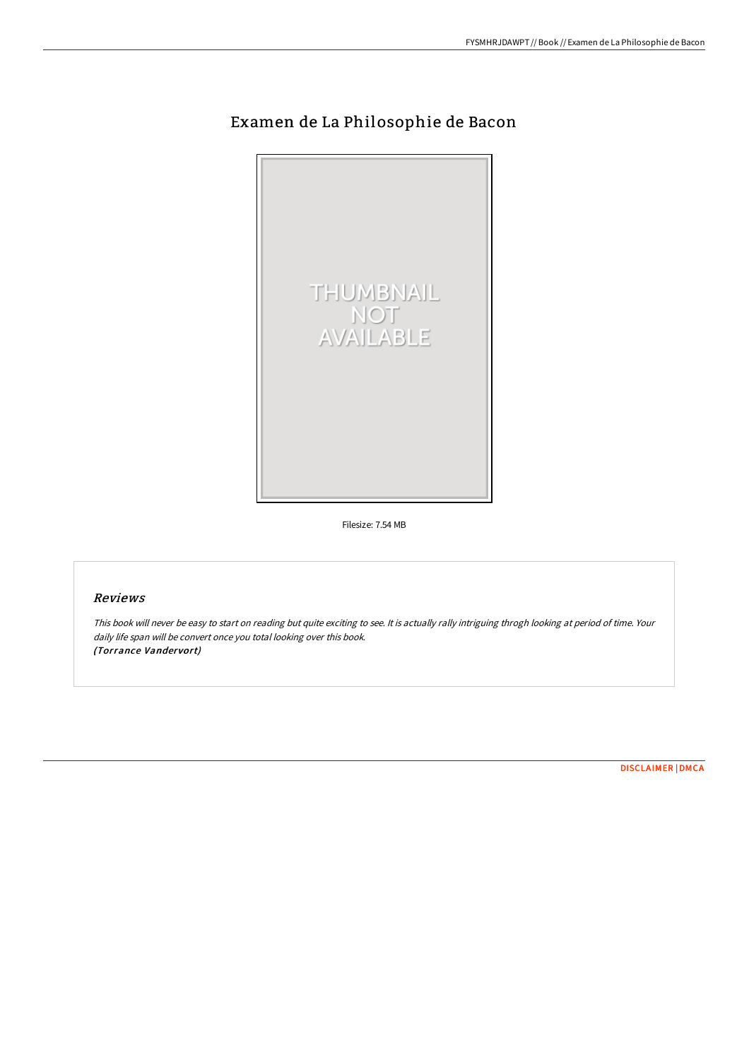# Examen de La Philosophie de Bacon



Filesize: 7.54 MB

## Reviews

This book will never be easy to start on reading but quite exciting to see. It is actually rally intriguing throgh looking at period of time. Your daily life span will be convert once you total looking over this book. (Torrance Vandervort)

[DISCLAIMER](http://albedo.media/disclaimer.html) | [DMCA](http://albedo.media/dmca.html)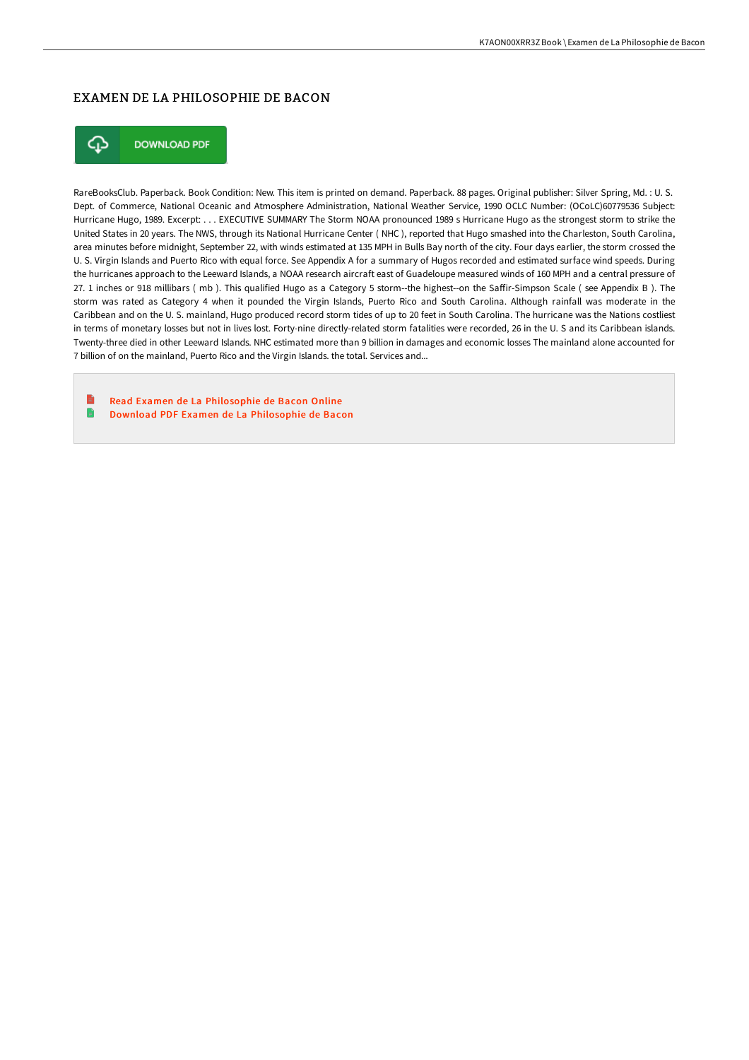### EXAMEN DE LA PHILOSOPHIE DE BACON



**DOWNLOAD PDF** 

RareBooksClub. Paperback. Book Condition: New. This item is printed on demand. Paperback. 88 pages. Original publisher: Silver Spring, Md. : U. S. Dept. of Commerce, National Oceanic and Atmosphere Administration, National Weather Service, 1990 OCLC Number: (OCoLC)60779536 Subject: Hurricane Hugo, 1989. Excerpt: . . . EXECUTIVE SUMMARY The Storm NOAA pronounced 1989 s Hurricane Hugo as the strongest storm to strike the United States in 20 years. The NWS, through its National Hurricane Center ( NHC ), reported that Hugo smashed into the Charleston, South Carolina, area minutes before midnight, September 22, with winds estimated at 135 MPH in Bulls Bay north of the city. Four days earlier, the storm crossed the U. S. Virgin Islands and Puerto Rico with equal force. See Appendix A for a summary of Hugos recorded and estimated surface wind speeds. During the hurricanes approach to the Leeward Islands, a NOAA research aircraft east of Guadeloupe measured winds of 160 MPH and a central pressure of 27. 1 inches or 918 millibars (mb). This qualified Hugo as a Category 5 storm--the highest--on the Saffir-Simpson Scale (see Appendix B). The storm was rated as Category 4 when it pounded the Virgin Islands, Puerto Rico and South Carolina. Although rainfall was moderate in the Caribbean and on the U. S. mainland, Hugo produced record storm tides of up to 20 feet in South Carolina. The hurricane was the Nations costliest in terms of monetary losses but not in lives lost. Forty-nine directly-related storm fatalities were recorded, 26 in the U. S and its Caribbean islands. Twenty-three died in other Leeward Islands. NHC estimated more than 9 billion in damages and economic losses The mainland alone accounted for 7 billion of on the mainland, Puerto Rico and the Virgin Islands. the total. Services and...

Read Examen de La [Philosophie](http://albedo.media/examen-de-la-philosophie-de-bacon.html) de Bacon Online n Download PDF Examen de La [Philosophie](http://albedo.media/examen-de-la-philosophie-de-bacon.html) de Bacon